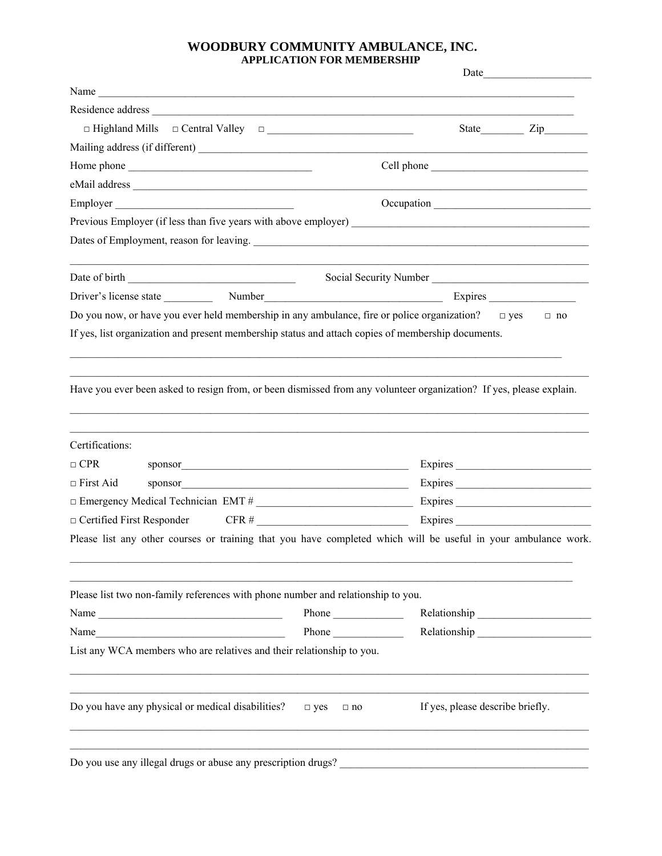## **WOODBURY COMMUNITY AMBULANCE, INC. APPLICATION FOR MEMBERSHIP**

|                                                                                                                                                                                                                                                                                                                                                                                                               | Date<br>the control of the control of the control of the                                                            |
|---------------------------------------------------------------------------------------------------------------------------------------------------------------------------------------------------------------------------------------------------------------------------------------------------------------------------------------------------------------------------------------------------------------|---------------------------------------------------------------------------------------------------------------------|
| Name $\frac{1}{\sqrt{1-\frac{1}{2}}\sqrt{1-\frac{1}{2}}\sqrt{1-\frac{1}{2}}\sqrt{1-\frac{1}{2}}\sqrt{1-\frac{1}{2}}\sqrt{1-\frac{1}{2}}\sqrt{1-\frac{1}{2}}\sqrt{1-\frac{1}{2}}\sqrt{1-\frac{1}{2}}\sqrt{1-\frac{1}{2}}\sqrt{1-\frac{1}{2}}\sqrt{1-\frac{1}{2}}\sqrt{1-\frac{1}{2}}\sqrt{1-\frac{1}{2}}\sqrt{1-\frac{1}{2}}\sqrt{1-\frac{1}{2}}\sqrt{1-\frac{1}{2}}\sqrt{1-\frac{1}{2}}\sqrt{1-\frac{1}{2}}\$ |                                                                                                                     |
|                                                                                                                                                                                                                                                                                                                                                                                                               |                                                                                                                     |
| $\Box$ Highland Mills $\Box$ Central Valley $\Box$                                                                                                                                                                                                                                                                                                                                                            | State Zip                                                                                                           |
|                                                                                                                                                                                                                                                                                                                                                                                                               | Mailing address (if different) _                                                                                    |
|                                                                                                                                                                                                                                                                                                                                                                                                               |                                                                                                                     |
|                                                                                                                                                                                                                                                                                                                                                                                                               |                                                                                                                     |
| Employer                                                                                                                                                                                                                                                                                                                                                                                                      |                                                                                                                     |
|                                                                                                                                                                                                                                                                                                                                                                                                               |                                                                                                                     |
|                                                                                                                                                                                                                                                                                                                                                                                                               |                                                                                                                     |
|                                                                                                                                                                                                                                                                                                                                                                                                               | Social Security Number<br><u>Land Communication</u>                                                                 |
|                                                                                                                                                                                                                                                                                                                                                                                                               | $Express \_\_$                                                                                                      |
|                                                                                                                                                                                                                                                                                                                                                                                                               | Do you now, or have you ever held membership in any ambulance, fire or police organization? $\Box$ yes<br>$\Box$ no |
|                                                                                                                                                                                                                                                                                                                                                                                                               | If yes, list organization and present membership status and attach copies of membership documents.                  |
|                                                                                                                                                                                                                                                                                                                                                                                                               | Have you ever been asked to resign from, or been dismissed from any volunteer organization? If yes, please explain. |
| Certifications:                                                                                                                                                                                                                                                                                                                                                                                               |                                                                                                                     |
| $\Box$ CPR                                                                                                                                                                                                                                                                                                                                                                                                    | Expires<br>sponsor                                                                                                  |
| $\Box$ First Aid                                                                                                                                                                                                                                                                                                                                                                                              | Expires<br>sponsor                                                                                                  |
|                                                                                                                                                                                                                                                                                                                                                                                                               |                                                                                                                     |
| $\Box$ Certified First Responder                                                                                                                                                                                                                                                                                                                                                                              | $CFR #$ Expires Expires                                                                                             |
|                                                                                                                                                                                                                                                                                                                                                                                                               | Please list any other courses or training that you have completed which will be useful in your ambulance work.      |
| Please list two non-family references with phone number and relationship to you.                                                                                                                                                                                                                                                                                                                              |                                                                                                                     |
| Name                                                                                                                                                                                                                                                                                                                                                                                                          | Phone $\qquad$                                                                                                      |
| Name<br><u> 1989 - Johann John Stone, mars eta bainar eta baina eta baina eta baina eta baina eta baina eta baina eta ba</u>                                                                                                                                                                                                                                                                                  | Relationship<br>Phone                                                                                               |
| List any WCA members who are relatives and their relationship to you.                                                                                                                                                                                                                                                                                                                                         |                                                                                                                     |
| Do you have any physical or medical disabilities? $\Box$ yes $\Box$ no                                                                                                                                                                                                                                                                                                                                        | If yes, please describe briefly.                                                                                    |
| Do you use any illegal drugs or abuse any prescription drugs?                                                                                                                                                                                                                                                                                                                                                 |                                                                                                                     |